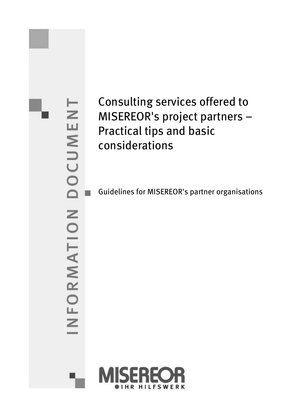DOCUMENT INFORMATION

# Consulting services offered to MISEREOR's project partners – Practical tips and basic considerations

Guidelines for MISEREOR's partner organisations

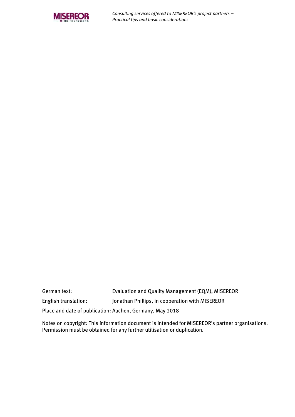

*Consulting services offered to MISEREOR's project partners – Practical tips and basic considerations* 

| German text:                                             | Evaluation and Quality Management (EQM), MISEREOR |  |  |
|----------------------------------------------------------|---------------------------------------------------|--|--|
| English translation:                                     | Jonathan Phillips, in cooperation with MISEREOR   |  |  |
| Place and date of publication: Aachen, Germany, May 2018 |                                                   |  |  |

Notes on copyright: This information document is intended for MISEREOR's partner organisations. Permission must be obtained for any further utilisation or duplication.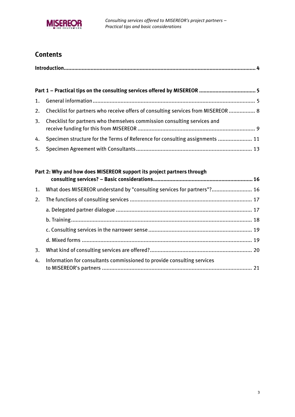

### **Contents**

|    | 2. Checklist for partners who receive offers of consulting services from MISEREOR  8 |  |  |  |
|----|--------------------------------------------------------------------------------------|--|--|--|
| 3. | Checklist for partners who themselves commission consulting services and             |  |  |  |
| 4. | Specimen structure for the Terms of Reference for consulting assignments  11         |  |  |  |
|    |                                                                                      |  |  |  |

|    | Part 2: Why and how does MISEREOR support its project partners through     |  |
|----|----------------------------------------------------------------------------|--|
|    | 1. What does MISEREOR understand by "consulting services for partners"? 16 |  |
|    |                                                                            |  |
|    |                                                                            |  |
|    |                                                                            |  |
|    |                                                                            |  |
|    |                                                                            |  |
| 3. |                                                                            |  |
| 4. | Information for consultants commissioned to provide consulting services    |  |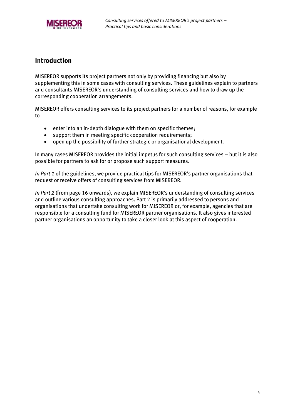

### <span id="page-3-0"></span>**Introduction**

MISEREOR supports its project partners not only by providing financing but also by supplementing this in some cases with consulting services. These guidelines explain to partners and consultants MISEREOR's understanding of consulting services and how to draw up the corresponding cooperation arrangements.

MISEREOR offers consulting services to its project partners for a number of reasons, for example to

- enter into an in-depth dialogue with them on specific themes;
- support them in meeting specific cooperation requirements;
- open up the possibility of further strategic or organisational development.

In many cases MISEREOR provides the initial impetus for such consulting services – but it is also possible for partners to ask for or propose such support measures.

*In Part 1* of the guidelines, we provide practical tips for MISEREOR's partner organisations that request or receive offers of consulting services from MISEREOR.

*In Part 2* (from page [16](#page-15-0) onwards), we explain MISEREOR's understanding of consulting services and outline various consulting approaches. Part 2 is primarily addressed to persons and organisations that undertake consulting work for MISEREOR or, for example, agencies that are responsible for a consulting fund for MISEREOR partner organisations. It also gives interested partner organisations an opportunity to take a closer look at this aspect of cooperation.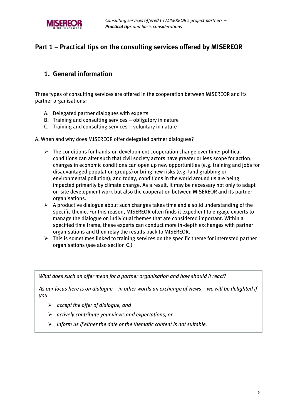

### <span id="page-4-0"></span>**Part 1 – Practical tips on the consulting services offered by MISEREOR**

### <span id="page-4-1"></span>**1. General information**

Three types of consulting services are offered in the cooperation between MISEREOR and its partner organisations:

- A. Delegated partner dialogues with experts
- B. Training and consulting services obligatory in nature
- C. Training and consulting services voluntary in nature

#### A. When and why does MISEREOR offer delegated partner dialogues?

- $\triangleright$  The conditions for hands-on development cooperation change over time: political conditions can alter such that civil society actors have greater or less scope for action; changes in economic conditions can open up new opportunities (e.g. training and jobs for disadvantaged population groups) or bring new risks (e.g. land grabbing or environmental pollution); and today, conditions in the world around us are being impacted primarily by climate change. As a result, it may be necessary not only to adapt on-site development work but also the cooperation between MISEREOR and its partner organisations.
- $\triangleright$  A productive dialogue about such changes takes time and a solid understanding of the specific theme. For this reason, MISEREOR often finds it expedient to engage experts to manage the dialogue on individual themes that are considered important. Within a specified time frame, these experts can conduct more in-depth exchanges with partner organisations and then relay the results back to MISEREOR.
- $\triangleright$  This is sometimes linked to training services on the specific theme for interested partner organisations (see also section C.)

*What does such an offer mean for a partner organisation and how should it react?*

*As our focus here is on dialogue – in other words an exchange of views – we will be delighted if you*

- *accept the offer of dialogue, and*
- *actively contribute your views and expectations, or*
- *inform us if either the date or the thematic content is not suitable.*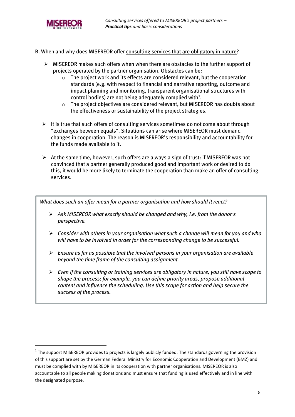

1

- B. When and why does MISEREOR offer consulting services that are obligatory in nature?
	- $\triangleright$  MISEREOR makes such offers when when there are obstacles to the further support of projects operated by the partner organisation. Obstacles can be:
		- o The project work and its effects are considered relevant, but the cooperation standards (e.g. with respect to financial and narrative reporting, outcome and impact planning and monitoring, transparent organisational structures with control bodies) are not being adequately complied with<sup>1</sup>.
		- o The project objectives are considered relevant, but MISEREOR has doubts about the effectiveness or sustainability of the project strategies.
	- $\triangleright$  It is true that such offers of consulting services sometimes do not come about through "exchanges between equals". Situations can arise where MISEREOR must demand changes in cooperation. The reason is MISEREOR's responsibility and accountability for the funds made available to it.
	- $\triangleright$  At the same time, however, such offers are always a sign of trust: if MISEREOR was not convinced that a partner generally produced good and important work or desired to do this, it would be more likely to terminate the cooperation than make an offer of consulting services.

*What does such an offer mean for a partner organisation and how should it react?*

- *Ask MISEREOR what exactly should be changed and why, i.e. from the donor's perspective.*
- *Consider with others in your organisation what such a change will mean for you and who will have to be involved in order for the corresponding change to be successful.*
- *Ensure as far as possible that the involved persons in your organisation are available beyond the time frame of the consulting assignment.*
- *Even if the consulting or training services are obligatory in nature, you still have scope to shape the process: for example, you can define priority areas, propose additional content and influence the scheduling. Use this scope for action and help secure the success of the process.*

 $1$  The support MISEREOR provides to projects is largely publicly funded. The standards governing the provision of this support are set by the German Federal Ministry for Economic Cooperation and Development (BMZ) and must be complied with by MISEREOR in its cooperation with partner organisations. MISEREOR is also accountable to all people making donations and must ensure that funding is used effectively and in line with the designated purpose.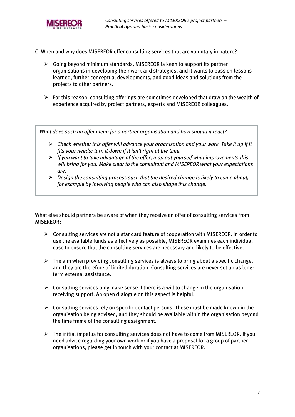

- C. When and why does MISEREOR offer consulting services that are voluntary in nature?
	- Going beyond minimum standards, MISEREOR is keen to support its partner organisations in developing their work and strategies, and it wants to pass on lessons learned, further conceptual developments, and good ideas and solutions from the projects to other partners.
	- $\triangleright$  For this reason, consulting offerings are sometimes developed that draw on the wealth of experience acquired by project partners, experts and MISEREOR colleagues.

*What does such an offer mean for a partner organisation and how should it react?*

- *Check whether this offer will advance your organisation and your work. Take it up if it fits your needs; turn it down if it isn't right at the time.*
- *If you want to take advantage of the offer, map out yourself what improvements this will bring for you. Make clear to the consultant and MISEREOR what your expectations are.*
- *Design the consulting process such that the desired change is likely to come about, for example by involving people who can also shape this change.*

What else should partners be aware of when they receive an offer of consulting services from MISEREOR?

- $\triangleright$  Consulting services are not a standard feature of cooperation with MISEREOR. In order to use the available funds as effectively as possible, MISEREOR examines each individual case to ensure that the consulting services are necessary and likely to be effective.
- $\triangleright$  The aim when providing consulting services is always to bring about a specific change, and they are therefore of limited duration. Consulting services are never set up as longterm external assistance.
- $\triangleright$  Consulting services only make sense if there is a will to change in the organisation receiving support. An open dialogue on this aspect is helpful.
- $\triangleright$  Consulting services rely on specific contact persons. These must be made known in the organisation being advised, and they should be available within the organisation beyond the time frame of the consulting assignment.
- $\triangleright$  The initial impetus for consulting services does not have to come from MISEREOR. If you need advice regarding your own work or if you have a proposal for a group of partner organisations, please get in touch with your contact at MISEREOR.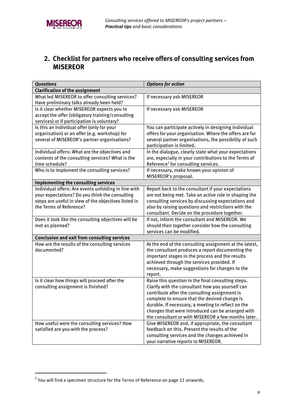### <span id="page-7-0"></span>**2. Checklist for partners who receive offers of consulting services from MISEREOR**

| <b>Questions</b>                                     | <b>Options for action</b>                              |
|------------------------------------------------------|--------------------------------------------------------|
| <b>Clarification of the assignment</b>               |                                                        |
| What led MISEREOR to offer consulting services?      | If necessary ask MISEREOR                              |
| Have preliminary talks already been held?            |                                                        |
| Is it clear whether MISEREOR expects you to          | If necessary ask MISEREOR                              |
| accept the offer (obligatory training/consulting     |                                                        |
| services) or if participation is voluntary?          |                                                        |
| Is this an individual offer (only for your           | You can participate actively in designing individual   |
| organisation) or an offer (e.g. workshop) for        | offers for your organisation. Where the offers are for |
| several of MISEREOR's partner organisations?         | several partner organisations, the possibility of such |
|                                                      | participation is limited.                              |
| Individual offers: What are the objectives and       | In the dialogue, clearly state what your expectations  |
| contents of the consulting services? What is the     | are, especially in your contributions to the Terms of  |
| time schedule?                                       | Reference <sup>2</sup> for consulting services.        |
| Who is to implement the consulting services?         | If necessary, make known your opinion of               |
|                                                      | MISEREOR's proposal.                                   |
| Implementing the consulting services                 |                                                        |
| Individual offers: Are events unfolding in line with | Report back to the consultant if your expectations     |
| your expectations? Do you think the consulting       | are not being met. Take an active role in shaping the  |
| steps are useful in view of the objectives listed in | consulting services by discussing expectations and     |
| the Terms of Reference?                              | also by raising questions and restrictions with the    |
|                                                      | consultant. Decide on the procedure together.          |
| Does it look like the consulting objectives will be  | If not, inform the consultant and MISEREOR. We         |
| met as planned?                                      | should then together consider how the consulting       |
|                                                      | services can be modified.                              |
| <b>Conclusion and exit from consulting services</b>  |                                                        |
| How are the results of the consulting services       | At the end of the consulting assignment at the latest, |
| documented?                                          | the consultant produces a report documenting the       |
|                                                      | important stages in the process and the results        |
|                                                      | achieved through the services provided. If             |
|                                                      | necessary, make suggestions for changes to the         |
|                                                      | report.                                                |
| Is it clear how things will proceed after the        | Raise this question in the final consulting steps.     |
| consulting assignment is finished?                   | Clarify with the consultant how you yourself can       |
|                                                      | contribute after the consulting assignment is          |
|                                                      | complete to ensure that the desired change is          |
|                                                      | durable. If necessary, a meeting to reflect on the     |
|                                                      | changes that were introduced can be arranged with      |
|                                                      | the consultant or with MISEREOR a few months later.    |
| How useful were the consulting services? How         | Give MISEREOR and, if appropriate, the consultant      |
| satisfied are you with the process?                  | feedback on this. Present the results of the           |
|                                                      | consulting services and the changes achieved in        |
|                                                      | your narrative reports to MISEREOR.                    |

 2 You will find a specimen structure for the Terms of Reference on pag[e 11](#page-10-0) onwards.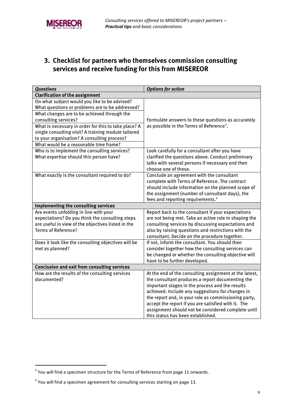

### <span id="page-8-0"></span>**3. Checklist for partners who themselves commission consulting services and receive funding for this from MISEREOR**

| <b>Questions</b>                                                                 | <b>Options for action</b>                                                                                |
|----------------------------------------------------------------------------------|----------------------------------------------------------------------------------------------------------|
| <b>Clarification of the assignment</b>                                           |                                                                                                          |
| On what subject would you like to be advised?                                    |                                                                                                          |
| What questions or problems are to be addressed?                                  |                                                                                                          |
| What changes are to be achieved through the                                      |                                                                                                          |
| consulting services?                                                             | Formulate answers to these questions as accurately                                                       |
| What is necessary in order for this to take place? A                             | as possible in the Terms of Reference <sup>3</sup> .                                                     |
| single consulting visit? A training module tailored                              |                                                                                                          |
| to your organisation? A consulting process?                                      |                                                                                                          |
| What would be a reasonable time frame?                                           |                                                                                                          |
| Who is to implement the consulting services?                                     | Look carefully for a consultant after you have                                                           |
| What expertise should this person have?                                          | clarified the questions above. Conduct preliminary                                                       |
|                                                                                  | talks with several persons if necessary and then                                                         |
|                                                                                  | choose one of these.                                                                                     |
| What exactly is the consultant required to do?                                   | Conclude an agreement with the consultant                                                                |
|                                                                                  | complete with Terms of Reference. The contract                                                           |
|                                                                                  | should include information on the planned scope of                                                       |
|                                                                                  | the assignment (number of consultant days), the                                                          |
|                                                                                  | fees and reporting requirements. <sup>4</sup>                                                            |
| Implementing the consulting services                                             |                                                                                                          |
| Are events unfolding in line with your                                           | Report back to the consultant if your expectations                                                       |
| expectations? Do you think the consulting steps                                  | are not being met. Take an active role in shaping the                                                    |
| are useful in view of the objectives listed in the<br><b>Terms of Reference?</b> | consulting services by discussing expectations and                                                       |
|                                                                                  | also by raising questions and restrictions with the                                                      |
|                                                                                  | consultant. Decide on the procedure together.<br>If not, inform the consultant. You should then          |
| Does it look like the consulting objectives will be<br>met as planned?           |                                                                                                          |
|                                                                                  | consider together how the consulting services can<br>be changed or whether the consulting objective will |
|                                                                                  | have to be further developed.                                                                            |
| <b>Conclusion and exit from consulting services</b>                              |                                                                                                          |
| How are the results of the consulting services                                   | At the end of the consulting assignment at the latest,                                                   |
| documented?                                                                      | the consultant produces a report documenting the                                                         |
|                                                                                  | important stages in the process and the results                                                          |
|                                                                                  | achieved. Include any suggestions for changes in                                                         |
|                                                                                  | the report and, in your role as commissioning party,                                                     |
|                                                                                  | accept the report if you are satisfied with it. The                                                      |
|                                                                                  | assignment should not be considered complete until                                                       |
|                                                                                  | this status has been established.                                                                        |

 3 You will find a specimen structure for the Terms of Reference from page [11](#page-10-0) onwards.

 $<sup>4</sup>$  You will find a specimen agreement for consulting services starting on page [13.](#page-12-0)</sup>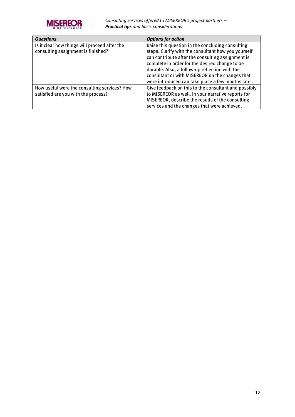

*Consulting services offered to MISEREOR's project partners – Practical tips and basic considerations* 

| <b>Questions</b>                              | <b>Options for action</b>                            |  |
|-----------------------------------------------|------------------------------------------------------|--|
| Is it clear how things will proceed after the | Raise this question in the concluding consulting     |  |
| consulting assignment is finished?            | steps. Clarify with the consultant how you yourself  |  |
|                                               | can contribute after the consulting assignment is    |  |
|                                               | complete in order for the desired change to be       |  |
|                                               | durable. Also, a follow-up reflection with the       |  |
|                                               | consultant or with MISEREOR on the changes that      |  |
|                                               | were introduced can take place a few months later.   |  |
| How useful were the consulting services? How  | Give feedback on this to the consultant and possibly |  |
| satisfied are you with the process?           | to MISEREOR as well. In your narrative reports for   |  |
|                                               | MISEREOR, describe the results of the consulting     |  |
|                                               | services and the changes that were achieved.         |  |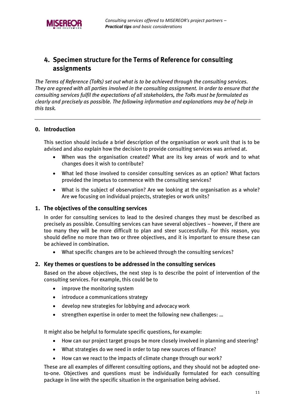### <span id="page-10-0"></span>**4. Specimen structure for the Terms of Reference for consulting assignments**

*The Terms of Reference (ToRs) set out what is to be achieved through the consulting services. They are agreed with all parties involved in the consulting assignment. In order to ensure that the consulting services fulfil the expectations of all stakeholders, the ToRs must be formulated as clearly and precisely as possible. The following information and explanations may be of help in this task.*

#### **0. Introduction**

This section should include a brief description of the organisation or work unit that is to be advised and also explain how the decision to provide consulting services was arrived at.

- When was the organisation created? What are its key areas of work and to what changes does it wish to contribute?
- What led those involved to consider consulting services as an option? What factors provided the impetus to commence with the consulting services?
- What is the subject of observation? Are we looking at the organisation as a whole? Are we focusing on individual projects, strategies or work units?

#### **1. The objectives of the consulting services**

In order for consulting services to lead to the desired changes they must be described as precisely as possible. Consulting services can have several objectives – however, if there are too many they will be more difficult to plan and steer successfully. For this reason, you should define no more than two or three objectives, and it is important to ensure these can be achieved in combination.

What specific changes are to be achieved through the consulting services?

#### **2. Key themes or questions to be addressed in the consulting services**

Based on the above objectives, the next step is to describe the point of intervention of the consulting services. For example, this could be to

- improve the monitoring system
- introduce a communications strategy
- develop new strategies for lobbying and advocacy work
- strengthen expertise in order to meet the following new challenges: …

It might also be helpful to formulate specific questions, for example:

- How can our project target groups be more closely involved in planning and steering?
- What strategies do we need in order to tap new sources of finance?
- How can we react to the impacts of climate change through our work?

These are all examples of different consulting options, and they should not be adopted oneto-one. Objectives and questions must be individually formulated for each consulting package in line with the specific situation in the organisation being advised.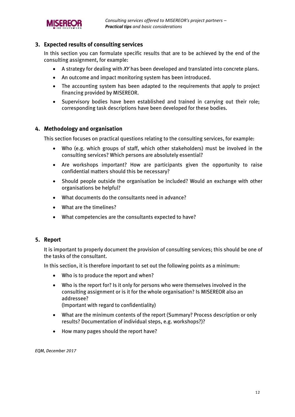

#### **3. Expected results of consulting services**

In this section you can formulate specific results that are to be achieved by the end of the consulting assignment, for example:

- A strategy for dealing with *XY* has been developed and translated into concrete plans.
- An outcome and impact monitoring system has been introduced.
- The accounting system has been adapted to the requirements that apply to project financing provided by MISEREOR.
- Supervisory bodies have been established and trained in carrying out their role; corresponding task descriptions have been developed for these bodies.

#### **4. Methodology and organisation**

This section focuses on practical questions relating to the consulting services, for example:

- Who (e.g. which groups of staff, which other stakeholders) must be involved in the consulting services? Which persons are absolutely essential?
- Are workshops important? How are participants given the opportunity to raise confidential matters should this be necessary?
- Should people outside the organisation be included? Would an exchange with other organisations be helpful?
- What documents do the consultants need in advance?
- What are the timelines?
- What competencies are the consultants expected to have?

#### **5. Report**

It is important to properly document the provision of consulting services; this should be one of the tasks of the consultant.

In this section, it is therefore important to set out the following points as a minimum:

- Who is to produce the report and when?
- Who is the report for? Is it only for persons who were themselves involved in the consulting assignment or is it for the whole organisation? Is MISEREOR also an addressee?

(Important with regard to confidentiality)

- What are the minimum contents of the report (Summary? Process description or only results? Documentation of individual steps, e.g. workshops?)?
- How many pages should the report have?

*EQM, December 2017*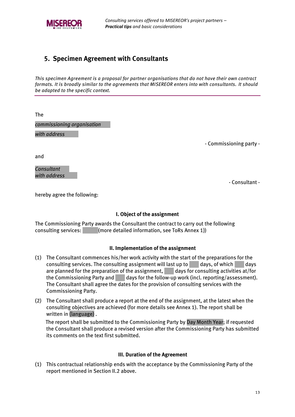

### <span id="page-12-0"></span>**5. Specimen Agreement with Consultants**

*This specimen Agreement is a proposal for partner organisations that do not have their own contract formats. It is broadly similar to the agreements that MISEREOR enters into with consultants. It should be adapted to the specific context.* 

The

*commissioning organisation*

*with address* 

- Commissioning party -

and

*Consultant with address*

- Consultant -

hereby agree the following:

#### **I. Object of the assignment**

The Commissioning Party awards the Consultant the contract to carry out the following consulting services: (more detailed information, see ToRs Annex 1))

#### **II. Implementation of the assignment**

- (1) The Consultant commences his/her work activity with the start of the preparations for the consulting services. The consulting assignment will last up to  $\Box$  days, of which days are planned for the preparation of the assignment, days for consulting activities at/for the Commissioning Party and days for the follow-up work (incl. reporting/assessment). The Consultant shall agree the dates for the provision of consulting services with the Commissioning Party.
- (2) The Consultant shall produce a report at the end of the assignment, at the latest when the consulting objectives are achieved (for more details see Annex 1). The report shall be written in (language) .

The report shall be submitted to the Commissioning Party by Day Month Year; if requested the Consultant shall produce a revised version after the Commissioning Party has submitted its comments on the text first submitted.

#### **III. Duration of the Agreement**

(1) This contractual relationship ends with the acceptance by the Commissioning Party of the report mentioned in Section II.2 above.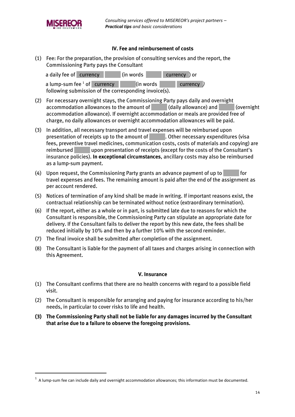

j

#### **IV. Fee and reimbursement of costs**

(1) Fee: For the preparation, the provision of consulting services and the report, the Commissioning Party pays the Consultant

| a daily fee of currency         | lin words | currency ) or |
|---------------------------------|-----------|---------------|
| a lump-sum fee $^1$ of currency | (in words | currency )    |

following submission of the corresponding invoice(s).

- (2) For necessary overnight stays, the Commissioning Party pays daily and overnight accommodation allowances to the amount of (daily allowance) and (overnight accommodation allowance). If overnight accommodation or meals are provided free of charge, no daily allowances or overnight accommodation allowances will be paid.
- (3) In addition, all necessary transport and travel expenses will be reimbursed upon presentation of receipts up to the amount of . Other necessary expenditures (visa fees, preventive travel medicines, communication costs, costs of materials and copying) are reimbursed upon presentation of receipts (except for the costs of the Consultant's insurance policies). **In exceptional circumstances**, ancillary costs may also be reimbursed as a lump-sum payment.
- (4) Upon request, the Commissioning Party grants an advance payment of up to  $\blacksquare$  for travel expenses and fees. The remaining amount is paid after the end of the assignment as per account rendered.
- (5) Notices of termination of any kind shall be made in writing. If important reasons exist, the contractual relationship can be terminated without notice (extraordinary termination).
- (6) If the report, either as a whole or in part, is submitted late due to reasons for which the Consultant is responsible, the Commissioning Party can stipulate an appropriate date for delivery. If the Consultant fails to deliver the report by this new date, the fees shall be reduced initially by 10% and then by a further 10% with the second reminder.
- (7) The final invoice shall be submitted after completion of the assignment.
- (8) The Consultant is liable for the payment of all taxes and charges arising in connection with this Agreement.

#### **V. Insurance**

- (1) The Consultant confirms that there are no health concerns with regard to a possible field visit.
- (2) The Consultant is responsible for arranging and paying for insurance according to his/her needs, in particular to cover risks to life and health.
- **(3) The Commissioning Party shall not be liable for any damages incurred by the Consultant that arise due to a failure to observe the foregoing provisions.**

 $1$  A lump-sum fee can include daily and overnight accommodation allowances; this information must be documented.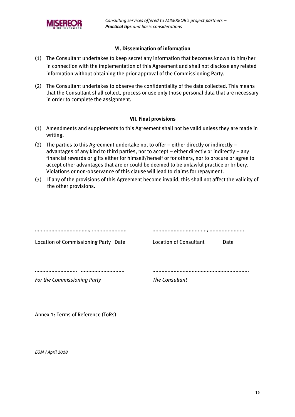

#### **VI. Dissemination of information**

- (1) The Consultant undertakes to keep secret any information that becomes known to him/her in connection with the implementation of this Agreement and shall not disclose any related information without obtaining the prior approval of the Commissioning Party.
- (2) The Consultant undertakes to observe the confidentiality of the data collected. This means that the Consultant shall collect, process or use only those personal data that are necessary in order to complete the assignment.

#### **VII. Final provisions**

- (1) Amendments and supplements to this Agreement shall not be valid unless they are made in writing.
- (2) The parties to this Agreement undertake not to offer either directly or indirectly advantages of any kind to third parties, nor to accept – either directly or indirectly – any financial rewards or gifts either for himself/herself or for others, nor to procure or agree to accept other advantages that are or could be deemed to be unlawful practice or bribery. Violations or non-observance of this clause will lead to claims for repayment.
- (3) If any of the provisions of this Agreement become invalid, this shall not affect the validity of the other provisions.

| <br>                                 | <br>                   |      |
|--------------------------------------|------------------------|------|
| Location of Commissioning Party Date | Location of Consultant | Date |
|                                      |                        |      |
|                                      |                        |      |
|                                      |                        |      |
| <b>For the Commissioning Party</b>   | The Consultant         |      |
|                                      |                        |      |

Annex 1: Terms of Reference (ToRs)

*EQM / April 2018*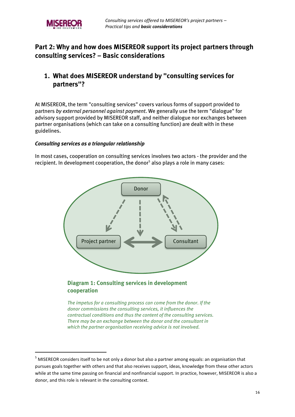

-

### <span id="page-15-0"></span>**Part 2: Why and how does MISEREOR support its project partners through consulting services? – Basic considerations**

### <span id="page-15-1"></span>**1. What does MISEREOR understand by "consulting services for partners"?**

At MISEREOR, the term "consulting services" covers various forms of support provided to partners *by external personnel against payment*. We generally use the term "dialogue" for advisory support provided by MISEREOR staff, and neither dialogue nor exchanges between partner organisations (which can take on a consulting function) are dealt with in these guidelines.

#### *Consulting services as a triangular relationship*

In most cases, cooperation on consulting services involves two actors - the provider and the recipient. In development cooperation, the donor<sup>5</sup> also plays a role in many cases:



## **cooperation**

*The impetus for a consulting process can come from the donor. If the donor commissions the consulting services, it influences the contractual conditions and thus the content of the consulting services. There may be an exchange between the donor and the consultant in which the partner organisation receiving advice is not involved.*

<sup>&</sup>lt;sup>5</sup> MISEREOR considers itself to be not only a donor but also a partner among equals: an organisation that pursues goals together with others and that also receives support, ideas, knowledge from these other actors while at the same time passing on financial and nonfinancial support. In practice, however, MISEREOR is also a donor, and this role is relevant in the consulting context.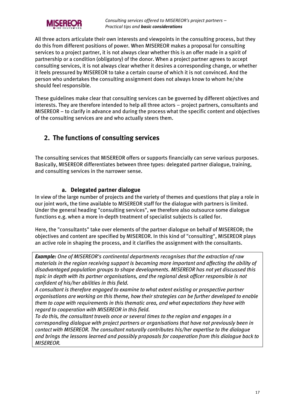

All three actors articulate their own interests and viewpoints in the consulting process, but they do this from different positions of power. When MISEREOR makes a proposal for consulting services to a project partner, it is not always clear whether this is an offer made in a spirit of partnership or a condition (obligatory) of the donor. When a project partner agrees to accept consulting services, it is not always clear whether it desires a corresponding change, or whether it feels pressured by MISEREOR to take a certain course of which it is not convinced. And the person who undertakes the consulting assignment does not always know to whom he/she should feel responsible.

These guidelines make clear that consulting services can be governed by different objectives and interests. They are therefore intended to help all three actors – project partners, consultants and MISEREOR – to clarify in advance and during the process what the specific content and objectives of the consulting services are and who actually steers them.

### <span id="page-16-0"></span>**2. The functions of consulting services**

The consulting services that MISEREOR offers or supports financially can serve various purposes. Basically, MISEREOR differentiates between three types: delegated partner dialogue, training, and consulting services in the narrower sense.

#### **a. Delegated partner dialogue**

<span id="page-16-1"></span>In view of the large number of projects and the variety of themes and questions that play a role in our joint work, the time available to MISEREOR staff for the dialogue with partners is limited. Under the general heading "consulting services", we therefore also outsource some dialogue functions e.g. when a more in-depth treatment of specialist subjects is called for.

Here, the "consultants" take over elements of the partner dialogue on behalf of MISEREOR; the objectives and content are specified by MISEREOR. In this kind of "consulting", MISEREOR plays an active role in shaping the process, and it clarifies the assignment with the consultants.

*Example: One of MISEREOR's continental departments recognises that the extraction of raw materials in the region receiving support is becoming more important and affecting the ability of disadvantaged population groups to shape developments. MISEREOR has not yet discussed this topic in depth with its partner organisations, and the regional desk officer responsible is not confident of his/her abilities in this field.*

*A consultant is therefore engaged to examine to what extent existing or prospective partner organisations are working on this theme, how their strategies can be further developed to enable them to cope with requirements in this thematic area, and what expectations they have with regard to cooperation with MISEREOR in this field.* 

*To do this, the consultant travels once or several times to the region and engages in a corresponding dialogue with project partners or organisations that have not previously been in contact with MISEREOR. The consultant naturally contributes his/her expertise to the dialogue and brings the lessons learned and possibly proposals for cooperation from this dialogue back to MISEREOR.*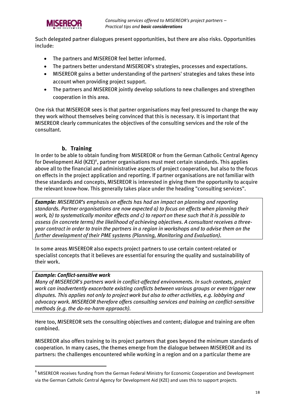

Such delegated partner dialogues present opportunities, but there are also risks. Opportunities include:

- The partners and MISEREOR feel better informed.
- The partners better understand MISEREOR's strategies, processes and expectations.
- MISEREOR gains a better understanding of the partners' strategies and takes these into account when providing project support.
- The partners and MISEREOR jointly develop solutions to new challenges and strengthen cooperation in this area.

One risk that MISEREOR sees is that partner organisations may feel pressured to change the way they work without themselves being convinced that this is necessary. It is important that MISEREOR clearly communicates the objectives of the consulting services and the role of the consultant.

#### **b. Training**

<span id="page-17-0"></span>In order to be able to obtain funding from MISEREOR or from the German Catholic Central Agency for Development Aid (KZE)<sup>6</sup>, partner organisations must meet certain standards. This applies above all to the financial and administrative aspects of project cooperation, but also to the focus on effects in the project application and reporting. If partner organisations are not familiar with these standards and concepts, MISEREOR is interested in giving them the opportunity to acquire the relevant know-how. This generally takes place under the heading "consulting services".

*Example: MISEREOR's emphasis on effects has had an impact on planning and reporting standards. Partner organisations are now expected a) to focus on effects when planning their work, b) to systematically monitor effects and c) to report on these such that it is possible to assess (in concrete terms) the likelihood of achieving objectives. A consultant receives a threeyear contract in order to train the partners in a region in workshops and to advise them on the further development of their PME systems (Planning, Monitoring and Evaluation).*

In some areas MISEREOR also expects project partners to use certain content-related or specialist concepts that it believes are essential for ensuring the quality and sustainability of their work.

#### *Example: Conflict-sensitive work*

-

*Many of MISEREOR's partners work in conflict-affected environments. In such contexts, project work can inadvertently exacerbate existing conflicts between various groups or even trigger new disputes. This applies not only to project work but also to other activities, e.g. lobbying and advocacy work. MISEREOR therefore offers consulting services and training on conflict-sensitive methods (e.g. the do-no-harm approach).*

Here too, MISEREOR sets the consulting objectives and content; dialogue and training are often combined.

MISEREOR also offers training to its project partners that goes beyond the minimum standards of cooperation. In many cases, the themes emerge from the dialogue between MISEREOR and its partners: the challenges encountered while working in a region and on a particular theme are

<sup>&</sup>lt;sup>6</sup> MISEREOR receives funding from the German Federal Ministry for Economic Cooperation and Development via the German Catholic Central Agency for Development Aid (KZE) and uses this to support projects.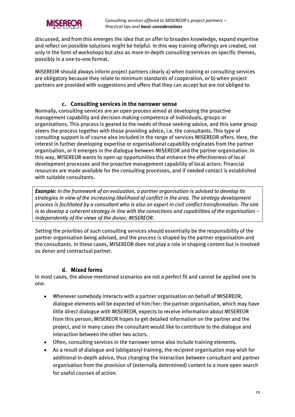

discussed, and from this emerges the idea that an offer to broaden knowledge, expand expertise and reflect on possible solutions might be helpful. In this way training offerings are created, not only in the form of workshops but also as more in-depth consulting services on specific themes, possibly in a one-to-one format.

MISEREOR should always inform project partners clearly a) when training or consulting services are obligatory because they relate to minimum standards of cooperation, or b) when project partners are provided with suggestions and offers that they can accept but are not obliged to.

#### **c. Consulting services in the narrower sense**

<span id="page-18-0"></span>Normally, consulting services are an open process aimed at developing the proactive management capability and decision-making competence of individuals, groups or organisations. This process is geared to the needs of those seeking advice, and this same group steers the process together with those providing advice, i.e. the consultants. This type of consulting support is of course also included in the range of services MISEREOR offers. Here, the interest in further developing expertise or organisational capability originates from the partner organisation, or it emerges in the dialogue between MISEREOR and the partner organisation. In this way, MISEREOR wants to open up opportunities that enhance the effectiveness of local development processes and the proactive management capability of local actors. Financial resources are made available for the consulting processes, and if needed contact is established with suitable consultants.

*Example: In the framework of an evaluation, a partner organisation is advised to develop its strategies in view of the increasing likelihood of conflict in the area. The strategy development process is facilitated by a consultant who is also an expert in civil conflict transformation. The aim is to develop a coherent strategy in line with the convictions and capabilities of the organisation – independently of the views of the donor, MISEREOR.*

Setting the priorities of such consulting services should essentially be the responsibility of the partner organisation being advised, and the process is shaped by the partner organisation and the consultants. In these cases, MISEREOR does not play a role in shaping content but is involved as donor and contractual partner.

#### **d. Mixed forms**

<span id="page-18-1"></span>In most cases, the above-mentioned scenarios are not a perfect fit and cannot be applied one to one.

- Whenever somebody interacts with a partner organisation on behalf of MISEREOR, dialogue elements will be expected of him/her: the partner organisation, which may have little direct dialogue with MISEREOR, expects to receive information about MISEREOR from this person; MISEREOR hopes to get detailed information on the partner and the project, and in many cases the consultant would like to contribute to the dialogue and interaction between the other two actors.
- Often, consulting services in the narrower sense also include training elements.
- As a result of dialogue and (obligatory) training, the recipient organisation may wish for additional in-depth advice, thus changing the interaction between consultant and partner organisation from the provision of (externally determined) content to a more open search for useful courses of action.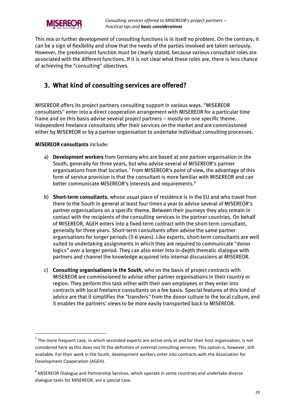

This mix or further development of consulting functions is in itself no problem. On the contrary, it can be a sign of flexibility and show that the needs of the parties involved are taken seriously. However, the predominant function must be clearly stated, because various consultant roles are associated with the different functions. If it is not clear what these roles are, there is less chance of achieving the "consulting" objectives.

### <span id="page-19-0"></span>**3. What kind of consulting services are offered?**

MISEREOR offers its project partners consulting support in various ways. "MISEREOR consultants" enter into a direct cooperation arrangement with MISEREOR for a particular time frame and on this basis advise several project partners – mostly on one specific theme. Independent freelance consultants offer their services on the market and are commissioned either by MISEREOR or by a partner organisation to undertake individual consulting processes.

#### **MISEREOR consultants** include:

1

- a) **Development workers** from Germany who are based at *one* partner organisation in the South, generally for three years, but who advise several of MISEREOR's partner organisations from that location.<sup>7</sup> From MISEREOR's point of view, the advantage of this form of service provision is that the consultant is more familiar with MISEREOR and can better communicate MISEREOR's interests and requirements.<sup>8</sup>
- b) **Short-term consultants**, whose usual place of residence is in the EU and who travel from there to the South in general at least four times a year to advise several of MISEREOR's partner organisations on a specific theme. Between their journeys they also remain in contact with the recipients of the consulting services in the partner countries. On behalf of MISEREOR, AGEH enters into a fixed-term contract with the short-term consultant, generally for three years. Short-term consultants often advise the same partner organisations for longer periods (3-6 years). Like experts, short-term consultants are well suited to undertaking assignments in which they are required to communicate "donor logics" over a longer period. They can also enter into in-depth thematic dialogue with partners and channel the knowledge acquired into internal discussions at MISEREOR.
- c) **Consulting organisations in the South**, who on the basis of project contracts with MISEREOR are commissioned to advise other partner organisations in their country or region. They perform this task either with their own employees or they enter into contracts with local freelance consultants on a fee basis. Special features of this kind of advice are that it simplifies the "transfers" from the donor culture to the local culture, and it enables the partners' views to be more easily transported back to MISEREOR.

 $^7$  The more frequent case, in which seconded experts are active only at and for their host organisation, is not considered here as this does not fit the definition of *external* consulting services. This option is, however, still available. For their work in the South, development workers enter into contracts with the Association for Development Cooperation (AGEH).

<sup>&</sup>lt;sup>8</sup> MISEREOR Dialogue and Partnership Services, which operate in some countries and undertake diverse dialogue tasks for MISEREOR, are a special case.